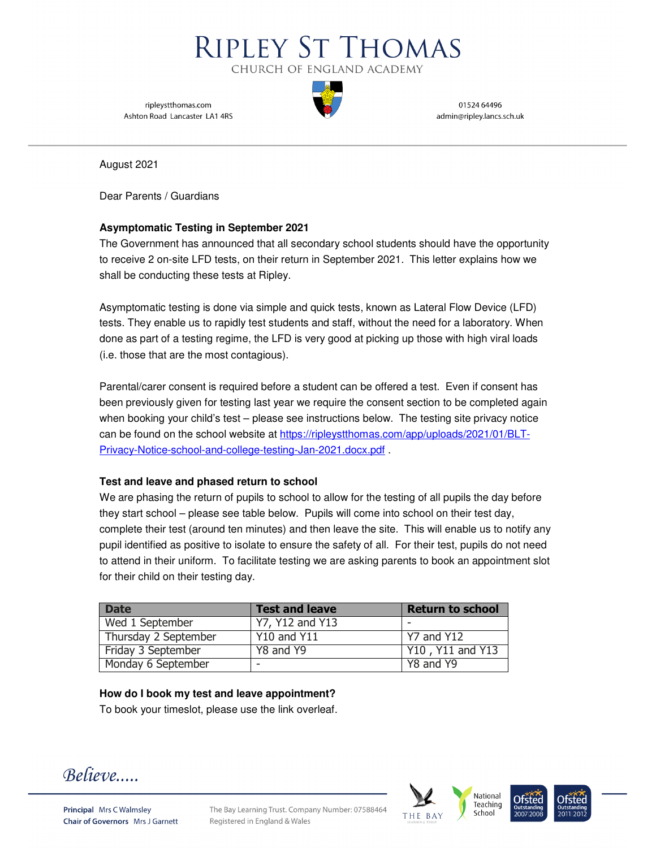

ripleystthomas.com Ashton Road Lancaster LA1 4RS

01524 64496 admin@ripley.lancs.sch.uk

August 2021

Dear Parents / Guardians

### **Asymptomatic Testing in September 2021**

The Government has announced that all secondary school students should have the opportunity to receive 2 on-site LFD tests, on their return in September 2021. This letter explains how we shall be conducting these tests at Ripley.

Asymptomatic testing is done via simple and quick tests, known as Lateral Flow Device (LFD) tests. They enable us to rapidly test students and staff, without the need for a laboratory. When done as part of a testing regime, the LFD is very good at picking up those with high viral loads (i.e. those that are the most contagious).

Parental/carer consent is required before a student can be offered a test. Even if consent has been previously given for testing last year we require the consent section to be completed again when booking your child's test – please see instructions below. The testing site privacy notice can be found on the school website at https://ripleystthomas.com/app/uploads/2021/01/BLT-Privacy-Notice-school-and-college-testing-Jan-2021.docx.pdf .

### **Test and leave and phased return to school**

We are phasing the return of pupils to school to allow for the testing of all pupils the day before they start school – please see table below. Pupils will come into school on their test day, complete their test (around ten minutes) and then leave the site. This will enable us to notify any pupil identified as positive to isolate to ensure the safety of all. For their test, pupils do not need to attend in their uniform. To facilitate testing we are asking parents to book an appointment slot for their child on their testing day.

| <b>Date</b>          | <b>Test and leave</b> | <b>Return to school</b> |
|----------------------|-----------------------|-------------------------|
| Wed 1 September      | Y7, Y12 and Y13       |                         |
| Thursday 2 September | <b>Y10 and Y11</b>    | Y7 and Y12              |
| Friday 3 September   | Y8 and Y9             | Y10, Y11 and Y13        |
| Monday 6 September   | -                     | Y8 and Y9               |

# **How do I book my test and leave appointment?**

To book your timeslot, please use the link overleaf.

Believe....



The Bay Learning Trust. Company Number: 07588464 Registered in England & Wales